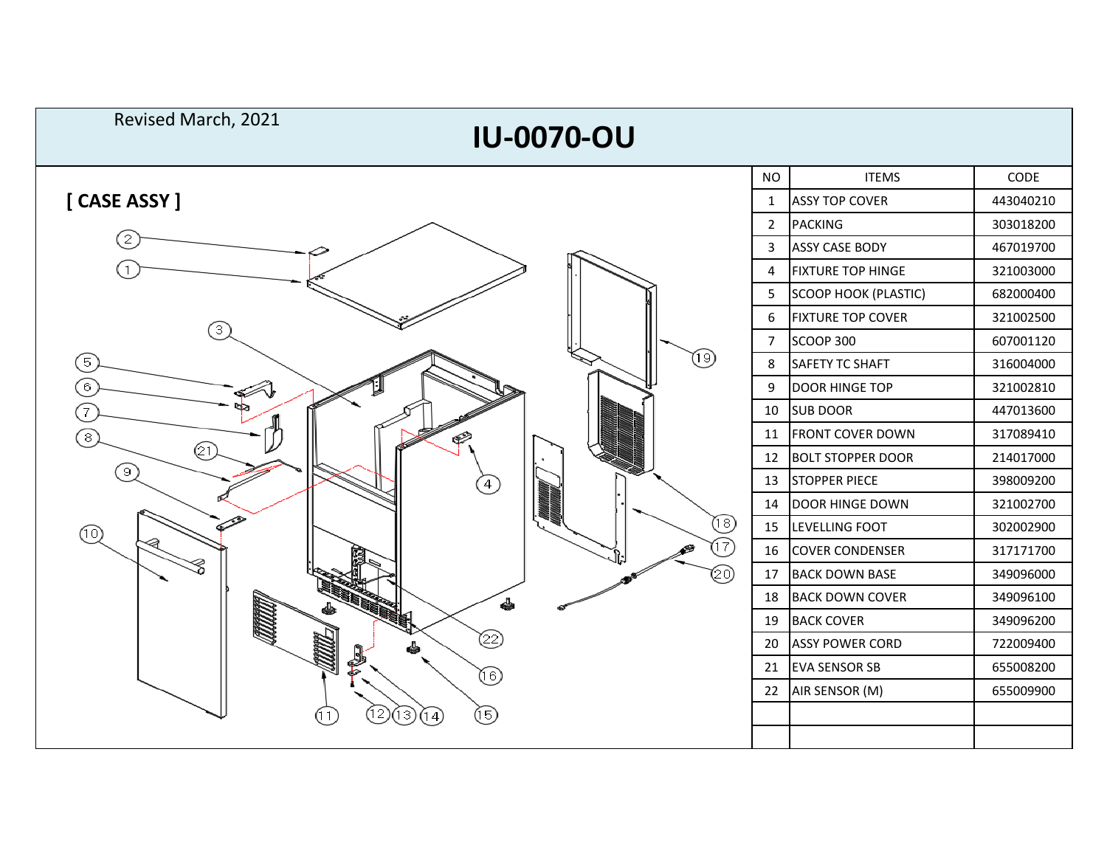| Revised March, 2021<br><b>IU-0070-OU</b> |                |                             |           |  |  |  |
|------------------------------------------|----------------|-----------------------------|-----------|--|--|--|
|                                          | <b>NO</b>      | <b>ITEMS</b>                | CODE      |  |  |  |
| [CASE ASSY]                              | 1              | <b>ASSY TOP COVER</b>       | 443040210 |  |  |  |
|                                          | $\overline{2}$ | <b>PACKING</b>              | 303018200 |  |  |  |
| 2)                                       | 3              | <b>ASSY CASE BODY</b>       | 467019700 |  |  |  |
|                                          | 4              | <b>FIXTURE TOP HINGE</b>    | 321003000 |  |  |  |
|                                          | 5              | <b>SCOOP HOOK (PLASTIC)</b> | 682000400 |  |  |  |
|                                          | 6              | <b>FIXTURE TOP COVER</b>    | 321002500 |  |  |  |
| З<br>৩<br>5<br>$6^{\circ}$<br>7          | 7              | <b>SCOOP 300</b>            | 607001120 |  |  |  |
|                                          | 8              | <b>SAFETY TC SHAFT</b>      | 316004000 |  |  |  |
|                                          | 9              | <b>DOOR HINGE TOP</b>       | 321002810 |  |  |  |
|                                          | 10             | <b>SUB DOOR</b>             | 447013600 |  |  |  |
| $\boxed{8}$<br>F                         | 11             | <b>FRONT COVER DOWN</b>     | 317089410 |  |  |  |
| @ī)                                      | 12             | <b>BOLT STOPPER DOOR</b>    | 214017000 |  |  |  |
| 9)<br>$\left( 4\right)$                  | 13             | <b>STOPPER PIECE</b>        | 398009200 |  |  |  |
|                                          | 14             | DOOR HINGE DOWN             | 321002700 |  |  |  |
| (⊍)<br>(তি                               |                | 15 LEVELLING FOOT           | 302002900 |  |  |  |
| 17                                       | 16             | <b>COVER CONDENSER</b>      | 317171700 |  |  |  |
| (20)                                     | 17             | <b>BACK DOWN BASE</b>       | 349096000 |  |  |  |
| 4                                        | 18             | <b>BACK DOWN COVER</b>      | 349096100 |  |  |  |
|                                          | 19             | <b>BACK COVER</b>           | 349096200 |  |  |  |
| ➁                                        | 20             | <b>ASSY POWER CORD</b>      | 722009400 |  |  |  |
| $^\copyright$                            | 21             | <b>EVA SENSOR SB</b>        | 655008200 |  |  |  |
|                                          | 22             | AIR SENSOR (M)              | 655009900 |  |  |  |
| ®<br>12)<br>13)<br>14                    |                |                             |           |  |  |  |
|                                          |                |                             |           |  |  |  |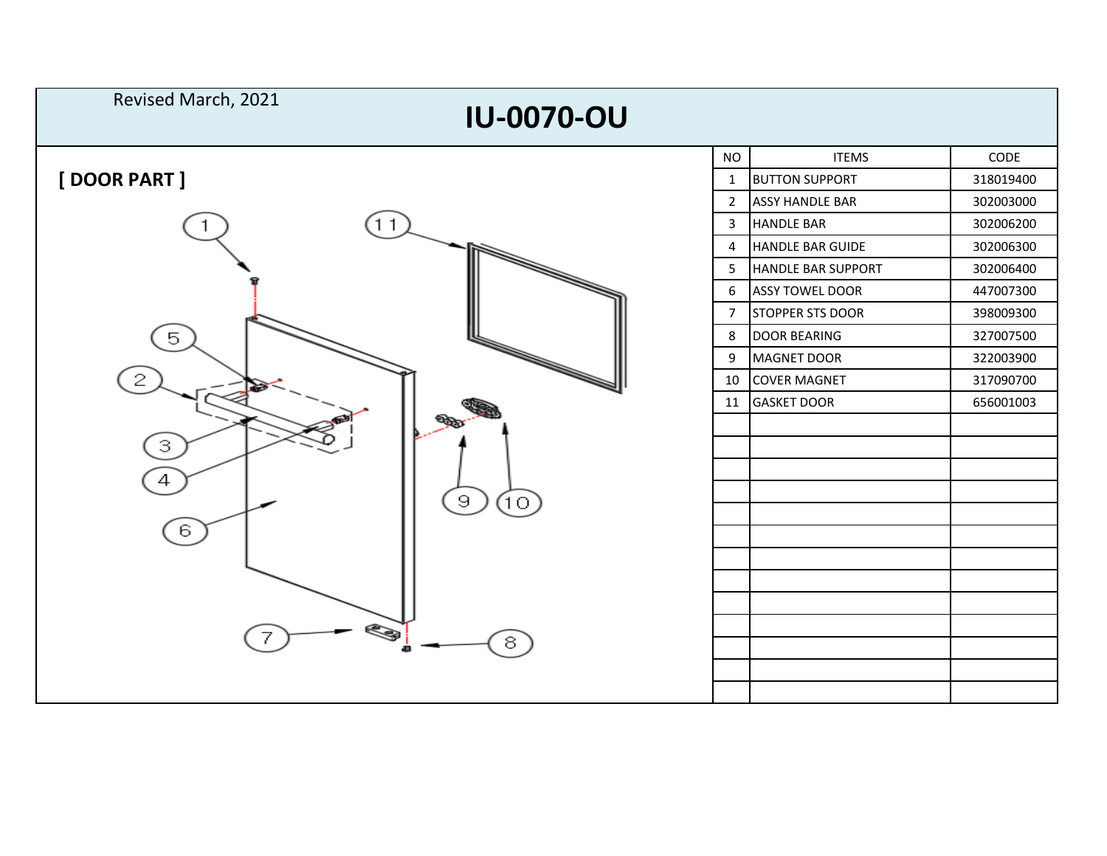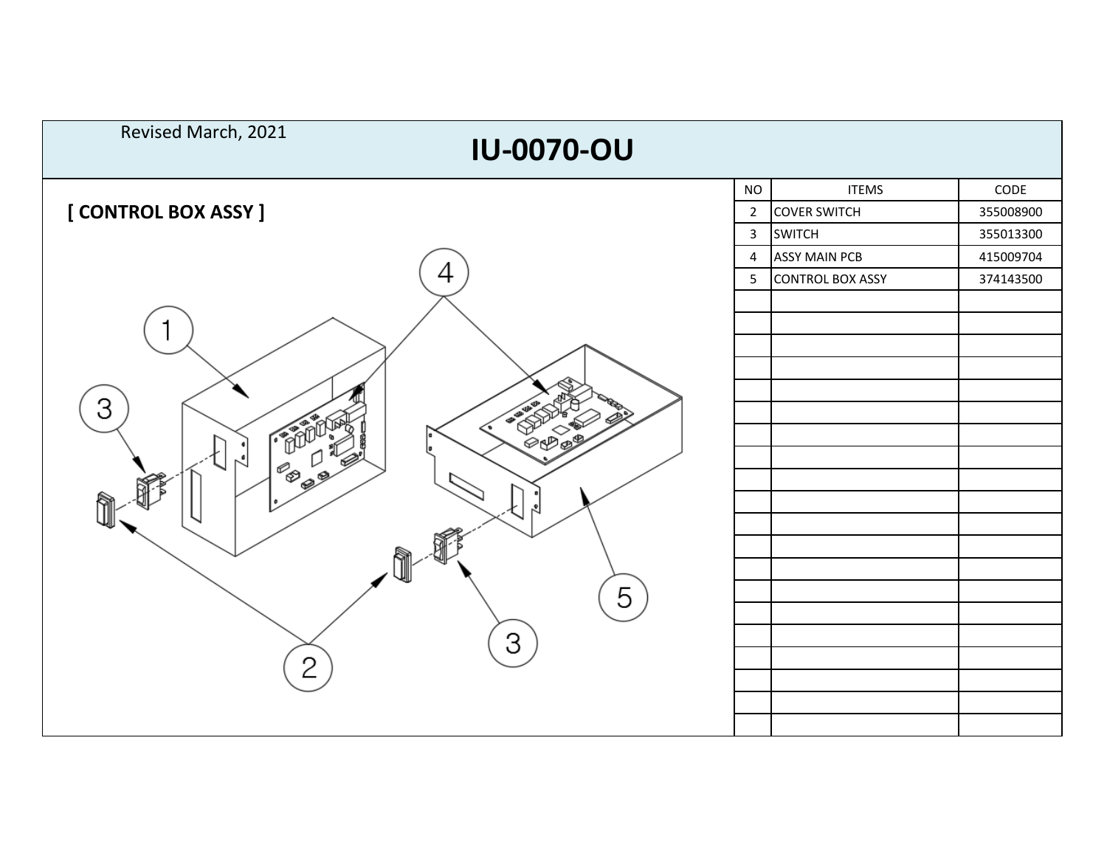| Revised March, 2021<br><b>IU-0070-OU</b> |                |                         |           |  |  |
|------------------------------------------|----------------|-------------------------|-----------|--|--|
|                                          | <b>NO</b>      | <b>ITEMS</b>            | CODE      |  |  |
| [ CONTROL BOX ASSY ]                     | $\overline{2}$ | <b>COVER SWITCH</b>     | 355008900 |  |  |
|                                          | $\mathbf{3}$   | <b>SWITCH</b>           | 355013300 |  |  |
|                                          | 4              | <b>ASSY MAIN PCB</b>    | 415009704 |  |  |
| 4                                        | 5              | <b>CONTROL BOX ASSY</b> | 374143500 |  |  |
| З<br>☜<br>5<br>3<br>$\mathcal{P}$        |                |                         |           |  |  |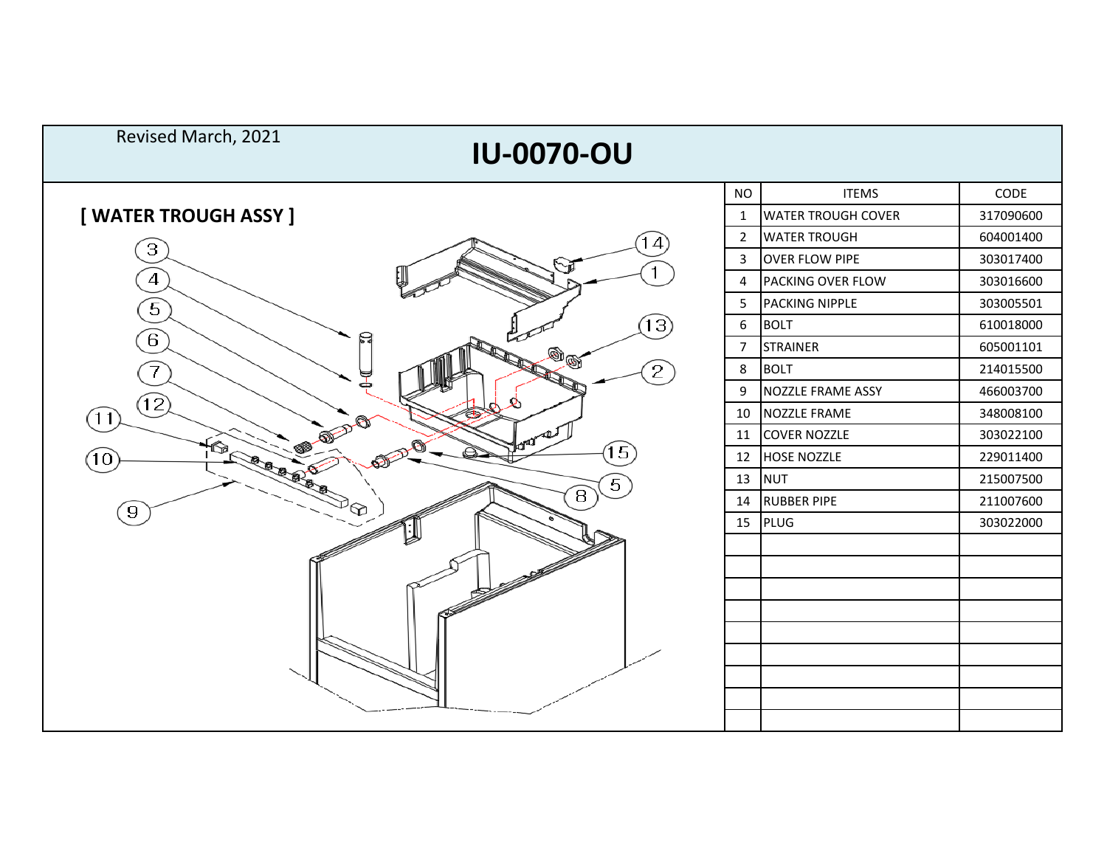| Revised March, 2021<br><b>IU-0070-OU</b> |                       |                           |           |  |  |
|------------------------------------------|-----------------------|---------------------------|-----------|--|--|
|                                          | <b>NO</b>             | <b>ITEMS</b>              | CODE      |  |  |
| [ WATER TROUGH ASSY ]                    | $\mathbf{1}$          | <b>WATER TROUGH COVER</b> | 317090600 |  |  |
| 14                                       | $\overline{2}$        | <b>WATER TROUGH</b>       | 604001400 |  |  |
| $\left 3\right\rangle$<br>∿ปิ            | 3                     | <b>OVER FLOW PIPE</b>     | 303017400 |  |  |
| $\overline{4}$                           | 4                     | <b>PACKING OVER FLOW</b>  | 303016600 |  |  |
| $\sqrt{5}$                               | 5                     | PACKING NIPPLE            | 303005501 |  |  |
| 13)                                      | 6                     | <b>BOLT</b>               | 610018000 |  |  |
| $6^{\circ}$<br>$\textcircled{\tiny{\#}}$ | $\overline{7}$        | <b>STRAINER</b>           | 605001101 |  |  |
|                                          | $\left[2\right]$<br>8 | <b>BOLT</b>               | 214015500 |  |  |
|                                          | 9                     | <b>NOZZLE FRAME ASSY</b>  | 466003700 |  |  |
| 12)<br>(11)                              | 10                    | NOZZLE FRAME              | 348008100 |  |  |
|                                          | 11                    | <b>COVER NOZZLE</b>       | 303022100 |  |  |
| 15)<br>10                                | 12                    | HOSE NOZZLE               | 229011400 |  |  |
| <b>COLEBBER</b><br>$\left[5\right]$      | 13                    | <b>NUT</b>                | 215007500 |  |  |
| $\mathbf{B}$<br>$\overline{9}$           | 14                    | <b>RUBBER PIPE</b>        | 211007600 |  |  |
|                                          | 15                    | PLUG                      | 303022000 |  |  |
|                                          |                       |                           |           |  |  |
|                                          |                       |                           |           |  |  |
|                                          |                       |                           |           |  |  |
|                                          |                       |                           |           |  |  |
|                                          |                       |                           |           |  |  |
|                                          |                       |                           |           |  |  |
|                                          |                       |                           |           |  |  |
|                                          |                       |                           |           |  |  |
|                                          |                       |                           |           |  |  |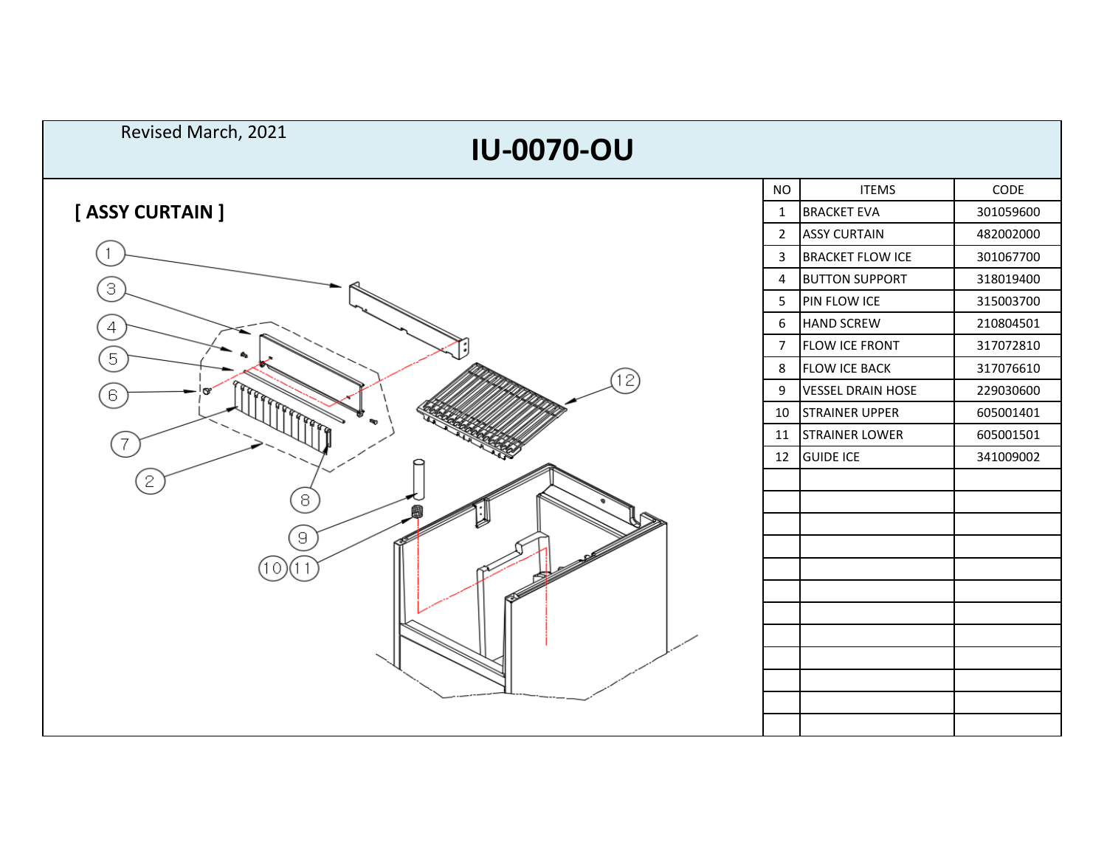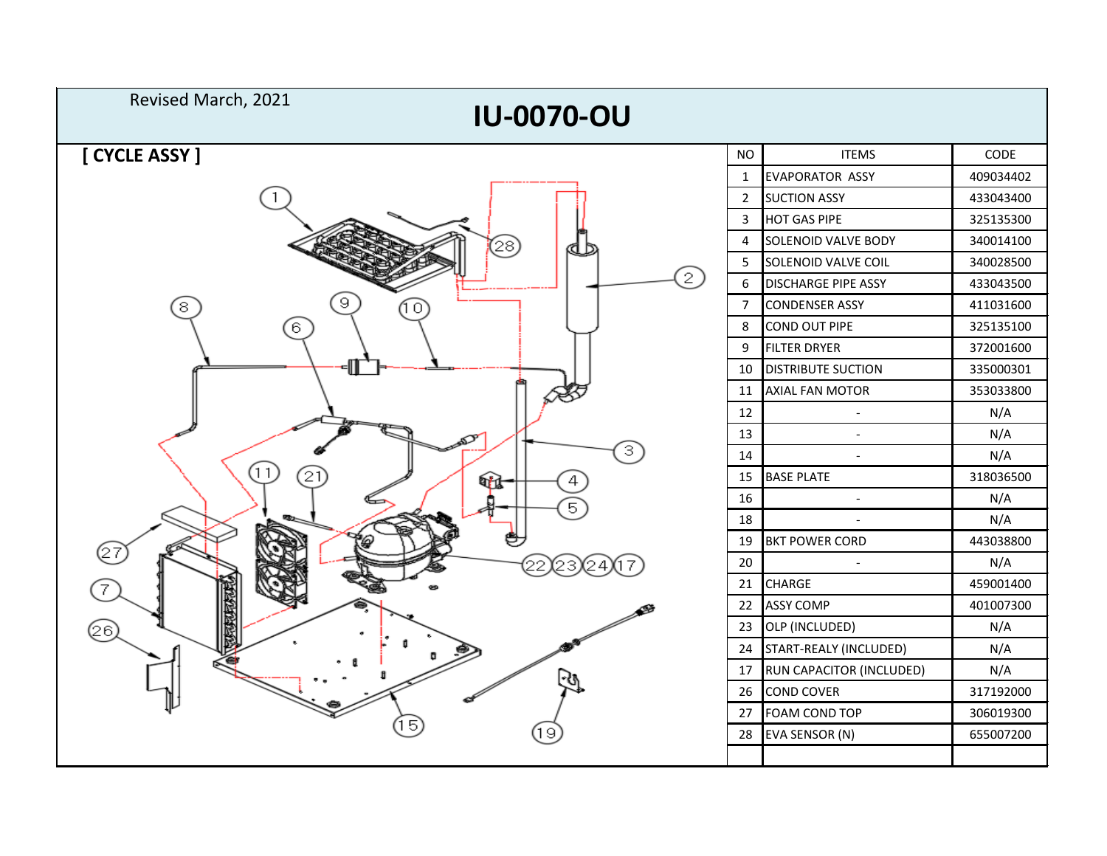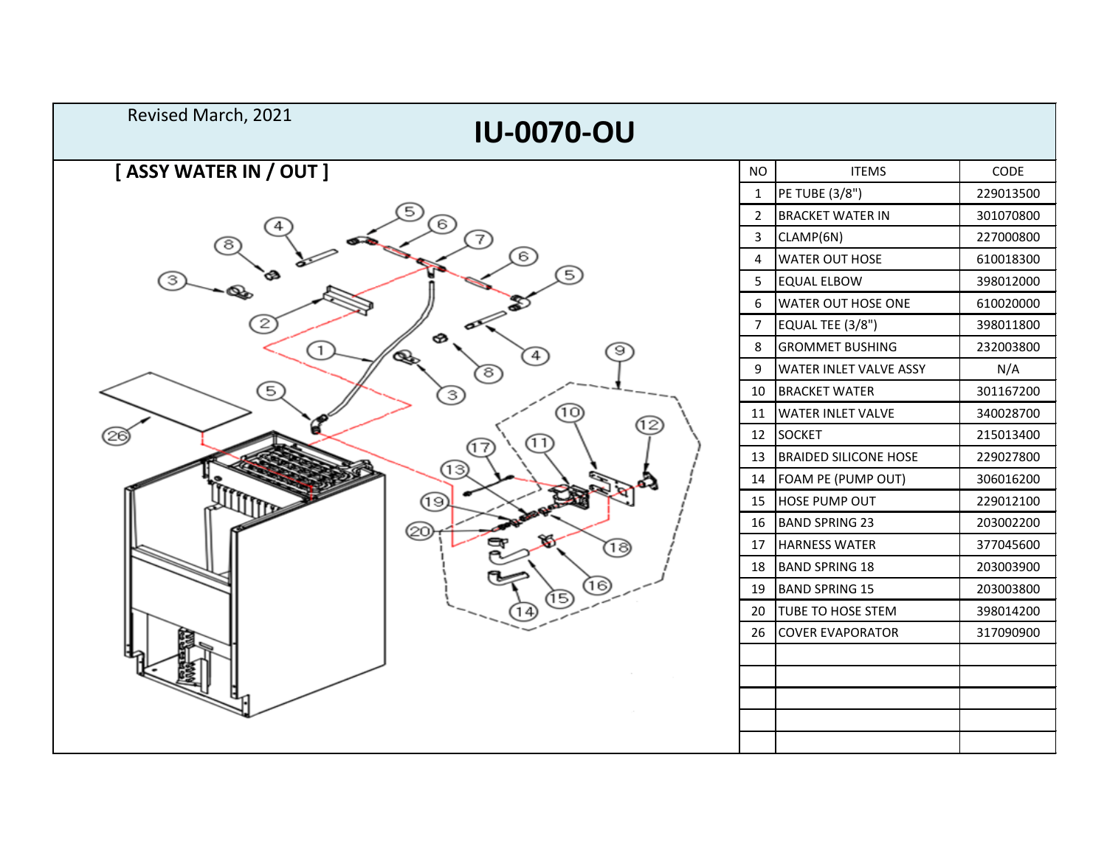